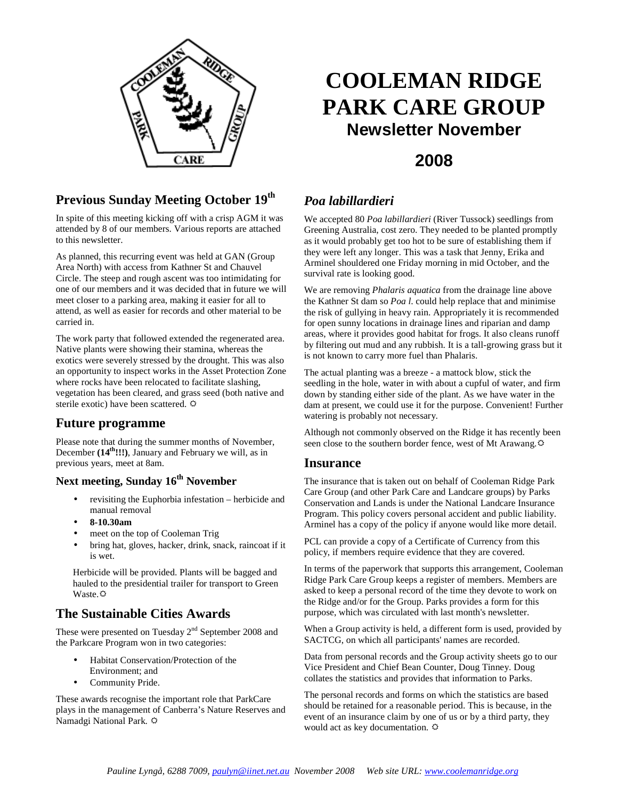

## **Previous Sunday Meeting October 19th**

In spite of this meeting kicking off with a crisp AGM it was attended by 8 of our members. Various reports are attached to this newsletter.

As planned, this recurring event was held at GAN (Group Area North) with access from Kathner St and Chauvel Circle. The steep and rough ascent was too intimidating for one of our members and it was decided that in future we will meet closer to a parking area, making it easier for all to attend, as well as easier for records and other material to be carried in.

The work party that followed extended the regenerated area. Native plants were showing their stamina, whereas the exotics were severely stressed by the drought. This was also an opportunity to inspect works in the Asset Protection Zone where rocks have been relocated to facilitate slashing, vegetation has been cleared, and grass seed (both native and sterile exotic) have been scattered.  $\ddot{\varphi}$ 

## **Future programme**

Please note that during the summer months of November, December **(14th!!!)**, January and February we will, as in previous years, meet at 8am.

## **Next meeting, Sunday 16th November**

- revisiting the Euphorbia infestation herbicide and manual removal
- **8-10.30am**
- meet on the top of Cooleman Trig
- bring hat, gloves, hacker, drink, snack, raincoat if it is wet.

Herbicide will be provided. Plants will be bagged and hauled to the presidential trailer for transport to Green Waste. $\Leftrightarrow$ 

## **The Sustainable Cities Awards**

These were presented on Tuesday  $2<sup>nd</sup>$  September 2008 and the Parkcare Program won in two categories:

- Habitat Conservation/Protection of the Environment; and
- Community Pride.

These awards recognise the important role that ParkCare plays in the management of Canberra's Nature Reserves and Namadgi National Park.

# **COOLEMAN RIDGE PARK CARE GROUP Newsletter November**

## **2008**

## *Poa labillardieri*

We accepted 80 *Poa labillardieri* (River Tussock) seedlings from Greening Australia, cost zero. They needed to be planted promptly as it would probably get too hot to be sure of establishing them if they were left any longer. This was a task that Jenny, Erika and Arminel shouldered one Friday morning in mid October, and the survival rate is looking good.

We are removing *Phalaris aquatica* from the drainage line above the Kathner St dam so *Poa l*. could help replace that and minimise the risk of gullying in heavy rain. Appropriately it is recommended for open sunny locations in drainage lines and riparian and damp areas, where it provides good habitat for frogs. It also cleans runoff by filtering out mud and any rubbish. It is a tall-growing grass but it is not known to carry more fuel than Phalaris.

The actual planting was a breeze - a mattock blow, stick the seedling in the hole, water in with about a cupful of water, and firm down by standing either side of the plant. As we have water in the dam at present, we could use it for the purpose. Convenient! Further watering is probably not necessary.

Although not commonly observed on the Ridge it has recently been seen close to the southern border fence, west of Mt Arawang.

#### **Insurance**

The insurance that is taken out on behalf of Cooleman Ridge Park Care Group (and other Park Care and Landcare groups) by Parks Conservation and Lands is under the National Landcare Insurance Program. This policy covers personal accident and public liability. Arminel has a copy of the policy if anyone would like more detail.

PCL can provide a copy of a Certificate of Currency from this policy, if members require evidence that they are covered.

In terms of the paperwork that supports this arrangement, Cooleman Ridge Park Care Group keeps a register of members. Members are asked to keep a personal record of the time they devote to work on the Ridge and/or for the Group. Parks provides a form for this purpose, which was circulated with last month's newsletter.

When a Group activity is held, a different form is used, provided by SACTCG, on which all participants' names are recorded.

Data from personal records and the Group activity sheets go to our Vice President and Chief Bean Counter, Doug Tinney. Doug collates the statistics and provides that information to Parks.

The personal records and forms on which the statistics are based should be retained for a reasonable period. This is because, in the event of an insurance claim by one of us or by a third party, they would act as key documentation.  $\Leftrightarrow$